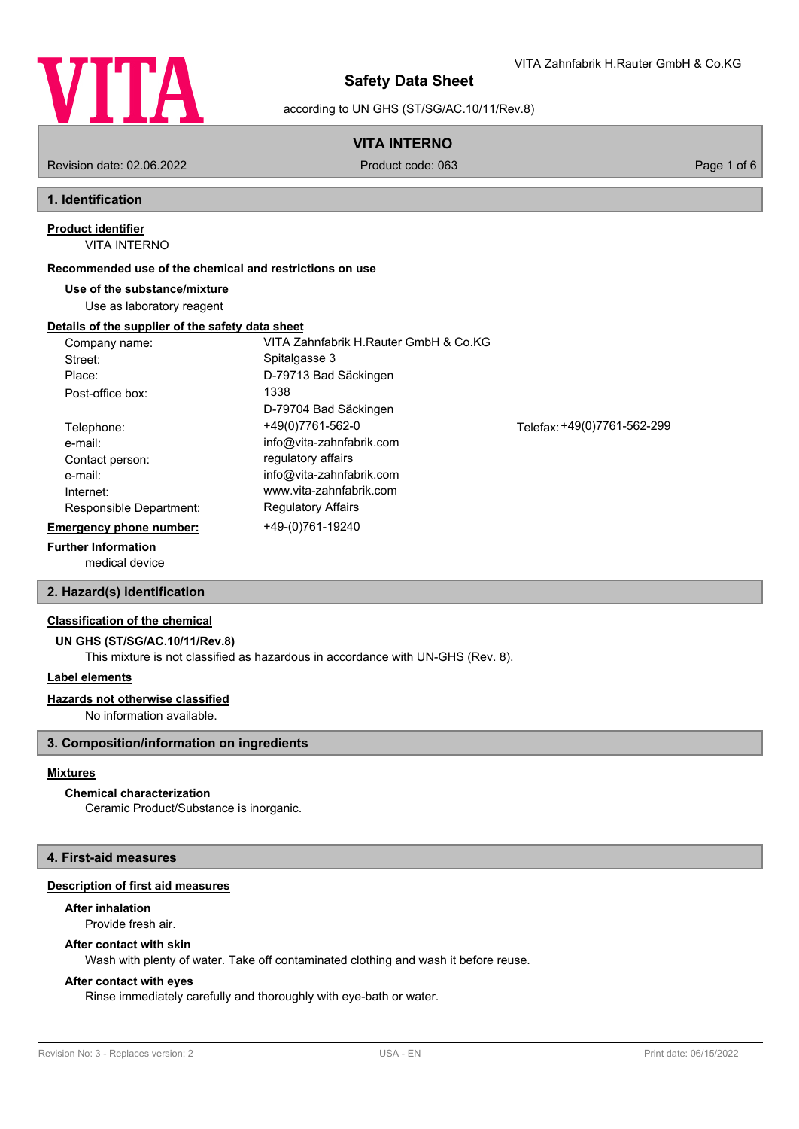

VITA Zahnfabrik H.Rauter GmbH & Co.KG

according to UN GHS (ST/SG/AC.10/11/Rev.8)

## **VITA INTERNO**

Revision date: 02.06.2022 Product code: 063 Page 1 of 6

## **1. Identification**

#### VITA INTERNO **Product identifier**

## **Recommended use of the chemical and restrictions on use**

## **Use of the substance/mixture**

Use as laboratory reagent

## **Details of the supplier of the safety data sheet**

| Company name:                  | VITA Zahnfabrik H.Rauter GmbH & Co.KG |                             |
|--------------------------------|---------------------------------------|-----------------------------|
| Street:                        | Spitalgasse 3                         |                             |
| Place:                         | D-79713 Bad Säckingen                 |                             |
| Post-office box:               | 1338                                  |                             |
|                                | D-79704 Bad Säckingen                 |                             |
| Telephone:                     | +49(0)7761-562-0                      | Telefax: +49(0)7761-562-299 |
| e-mail:                        | info@vita-zahnfabrik.com              |                             |
| Contact person:                | regulatory affairs                    |                             |
| e-mail:                        | info@vita-zahnfabrik.com              |                             |
| Internet:                      | www.vita-zahnfabrik.com               |                             |
| Responsible Department:        | <b>Regulatory Affairs</b>             |                             |
| <b>Emergency phone number:</b> | +49-(0)761-19240                      |                             |
|                                |                                       |                             |

## **Further Information**

medical device

## **2. Hazard(s) identification**

## **Classification of the chemical**

**UN GHS (ST/SG/AC.10/11/Rev.8)**

This mixture is not classified as hazardous in accordance with UN-GHS (Rev. 8).

## **Label elements**

### **Hazards not otherwise classified**

No information available.

## **3. Composition/information on ingredients**

## **Mixtures**

## **Chemical characterization**

Ceramic Product/Substance is inorganic.

## **4. First-aid measures**

### **Description of first aid measures**

# **After inhalation**

Provide fresh air.

## **After contact with skin**

Wash with plenty of water. Take off contaminated clothing and wash it before reuse.

### **After contact with eyes**

Rinse immediately carefully and thoroughly with eye-bath or water.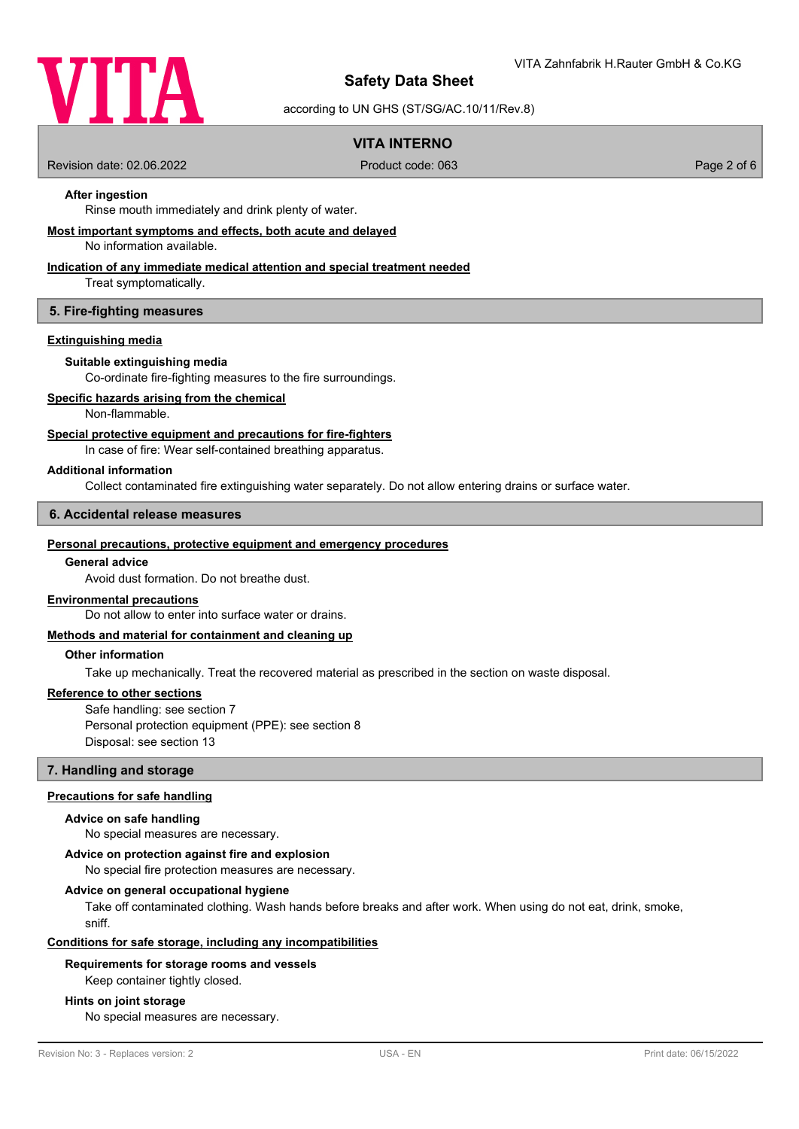

according to UN GHS (ST/SG/AC.10/11/Rev.8)

## **VITA INTERNO**

Revision date: 02.06.2022 Product code: 063 Page 2 of 6

## **After ingestion**

Rinse mouth immediately and drink plenty of water.

#### **Most important symptoms and effects, both acute and delayed**

No information available.

## **Indication of any immediate medical attention and special treatment needed**

Treat symptomatically.

#### **5. Fire-fighting measures**

#### **Extinguishing media**

#### **Suitable extinguishing media**

Co-ordinate fire-fighting measures to the fire surroundings.

#### **Specific hazards arising from the chemical**

Non-flammable.

#### **Special protective equipment and precautions for fire-fighters**

In case of fire: Wear self-contained breathing apparatus.

#### **Additional information**

Collect contaminated fire extinguishing water separately. Do not allow entering drains or surface water.

#### **6. Accidental release measures**

#### **Personal precautions, protective equipment and emergency procedures**

## **General advice**

Avoid dust formation. Do not breathe dust.

#### **Environmental precautions**

Do not allow to enter into surface water or drains.

#### **Methods and material for containment and cleaning up**

## **Other information**

Take up mechanically. Treat the recovered material as prescribed in the section on waste disposal.

#### **Reference to other sections**

Safe handling: see section 7 Personal protection equipment (PPE): see section 8 Disposal: see section 13

#### **7. Handling and storage**

#### **Precautions for safe handling**

#### **Advice on safe handling**

No special measures are necessary.

### **Advice on protection against fire and explosion**

No special fire protection measures are necessary.

#### **Advice on general occupational hygiene**

Take off contaminated clothing. Wash hands before breaks and after work. When using do not eat, drink, smoke, sniff.

#### **Conditions for safe storage, including any incompatibilities**

#### **Requirements for storage rooms and vessels**

Keep container tightly closed.

#### **Hints on joint storage**

No special measures are necessary.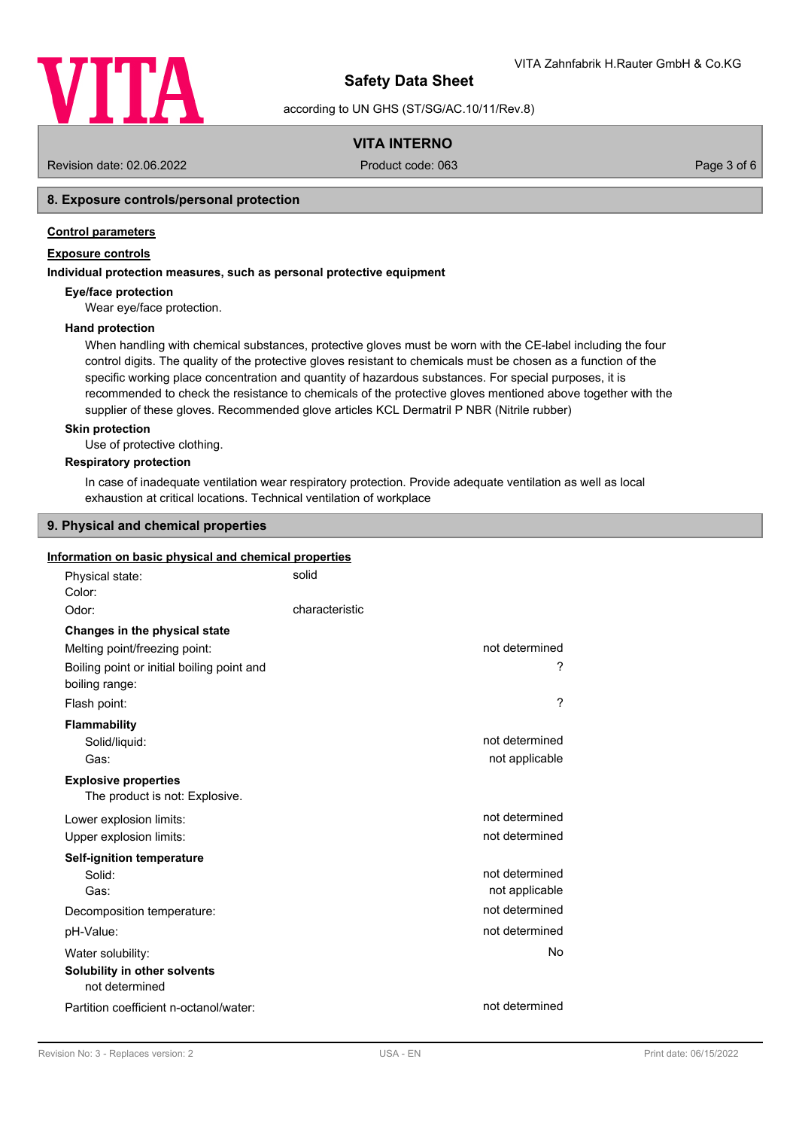

according to UN GHS (ST/SG/AC.10/11/Rev.8)

## **VITA INTERNO**

Revision date: 02.06.2022 Product code: 063 Page 3 of 6

## **8. Exposure controls/personal protection**

## **Control parameters**

## **Exposure controls**

### **Individual protection measures, such as personal protective equipment**

#### **Eye/face protection**

Wear eye/face protection.

#### **Hand protection**

When handling with chemical substances, protective gloves must be worn with the CE-label including the four control digits. The quality of the protective gloves resistant to chemicals must be chosen as a function of the specific working place concentration and quantity of hazardous substances. For special purposes, it is recommended to check the resistance to chemicals of the protective gloves mentioned above together with the supplier of these gloves. Recommended glove articles KCL Dermatril P NBR (Nitrile rubber)

#### **Skin protection**

Use of protective clothing.

#### **Respiratory protection**

In case of inadequate ventilation wear respiratory protection. Provide adequate ventilation as well as local exhaustion at critical locations. Technical ventilation of workplace

## **9. Physical and chemical properties**

#### **Information on basic physical and chemical properties**

| Physical state:<br>Color:                                     | solid          |                                  |
|---------------------------------------------------------------|----------------|----------------------------------|
| Odor:                                                         | characteristic |                                  |
| Changes in the physical state                                 |                |                                  |
| Melting point/freezing point:                                 |                | not determined                   |
| Boiling point or initial boiling point and<br>boiling range:  |                | ?                                |
| Flash point:                                                  |                | ?                                |
| <b>Flammability</b><br>Solid/liquid:<br>Gas:                  |                | not determined<br>not applicable |
| <b>Explosive properties</b><br>The product is not: Explosive. |                |                                  |
| Lower explosion limits:                                       |                | not determined                   |
| Upper explosion limits:                                       |                | not determined                   |
| Self-ignition temperature                                     |                |                                  |
| Solid:<br>Gas:                                                |                | not determined<br>not applicable |
| Decomposition temperature:                                    |                | not determined                   |
| pH-Value:                                                     |                | not determined                   |
| Water solubility:                                             |                | No                               |
| Solubility in other solvents<br>not determined                |                |                                  |
| Partition coefficient n-octanol/water:                        |                | not determined                   |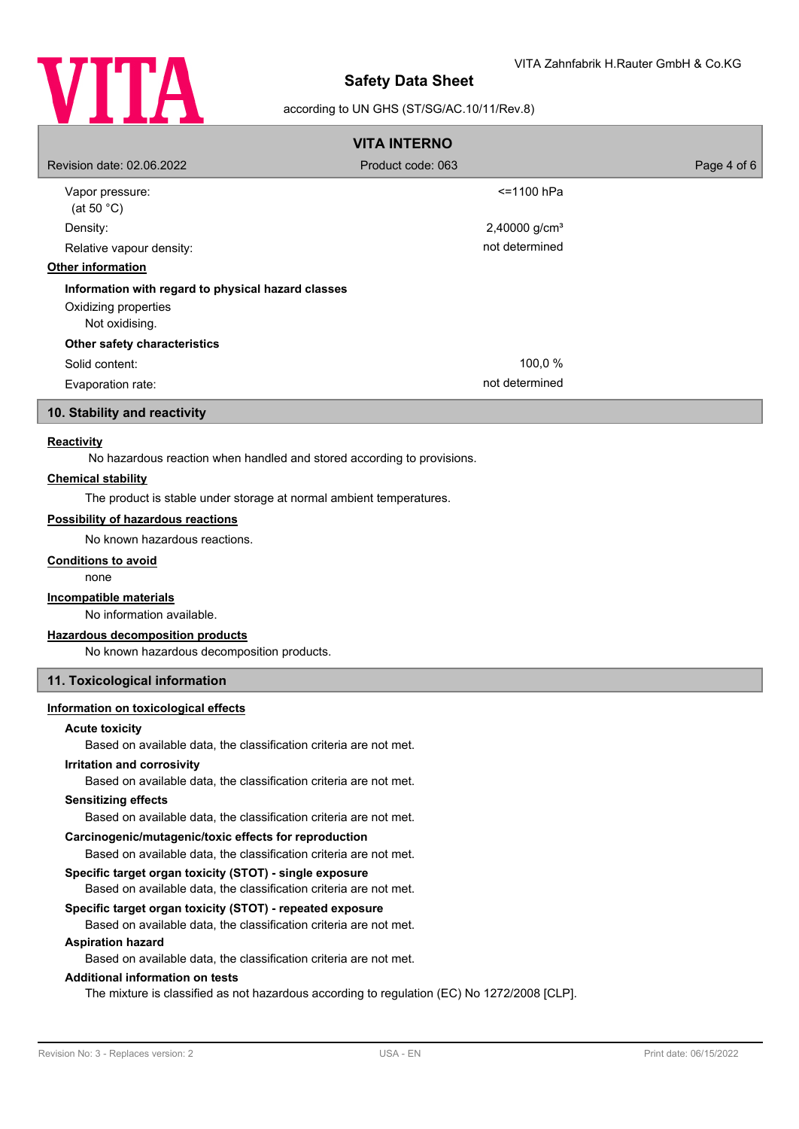

## according to UN GHS (ST/SG/AC.10/11/Rev.8)

| <b>VITA INTERNO</b>                                                                          |                             |             |  |
|----------------------------------------------------------------------------------------------|-----------------------------|-------------|--|
| Revision date: 02.06.2022                                                                    | Product code: 063           | Page 4 of 6 |  |
| Vapor pressure:<br>(at 50 $^{\circ}$ C)                                                      | <=1100 hPa                  |             |  |
| Density:                                                                                     | $2,40000$ g/cm <sup>3</sup> |             |  |
| Relative vapour density:                                                                     | not determined              |             |  |
| <b>Other information</b>                                                                     |                             |             |  |
| Information with regard to physical hazard classes<br>Oxidizing properties<br>Not oxidising. |                             |             |  |
| Other safety characteristics                                                                 |                             |             |  |
| Solid content:                                                                               | 100,0 %                     |             |  |
| Evaporation rate:                                                                            | not determined              |             |  |

## **10. Stability and reactivity**

## **Reactivity**

No hazardous reaction when handled and stored according to provisions.

## **Chemical stability**

The product is stable under storage at normal ambient temperatures.

#### **Possibility of hazardous reactions**

No known hazardous reactions.

## **Conditions to avoid**

none

#### **Incompatible materials**

No information available.

#### **Hazardous decomposition products**

No known hazardous decomposition products.

## **11. Toxicological information**

#### **Information on toxicological effects**

#### **Acute toxicity**

Based on available data, the classification criteria are not met.

#### **Irritation and corrosivity**

Based on available data, the classification criteria are not met.

#### **Sensitizing effects**

Based on available data, the classification criteria are not met.

## **Carcinogenic/mutagenic/toxic effects for reproduction**

Based on available data, the classification criteria are not met.

#### **Specific target organ toxicity (STOT) - single exposure**

Based on available data, the classification criteria are not met.

## **Specific target organ toxicity (STOT) - repeated exposure**

Based on available data, the classification criteria are not met.

#### **Aspiration hazard**

Based on available data, the classification criteria are not met.

#### **Additional information on tests**

The mixture is classified as not hazardous according to regulation (EC) No 1272/2008 [CLP].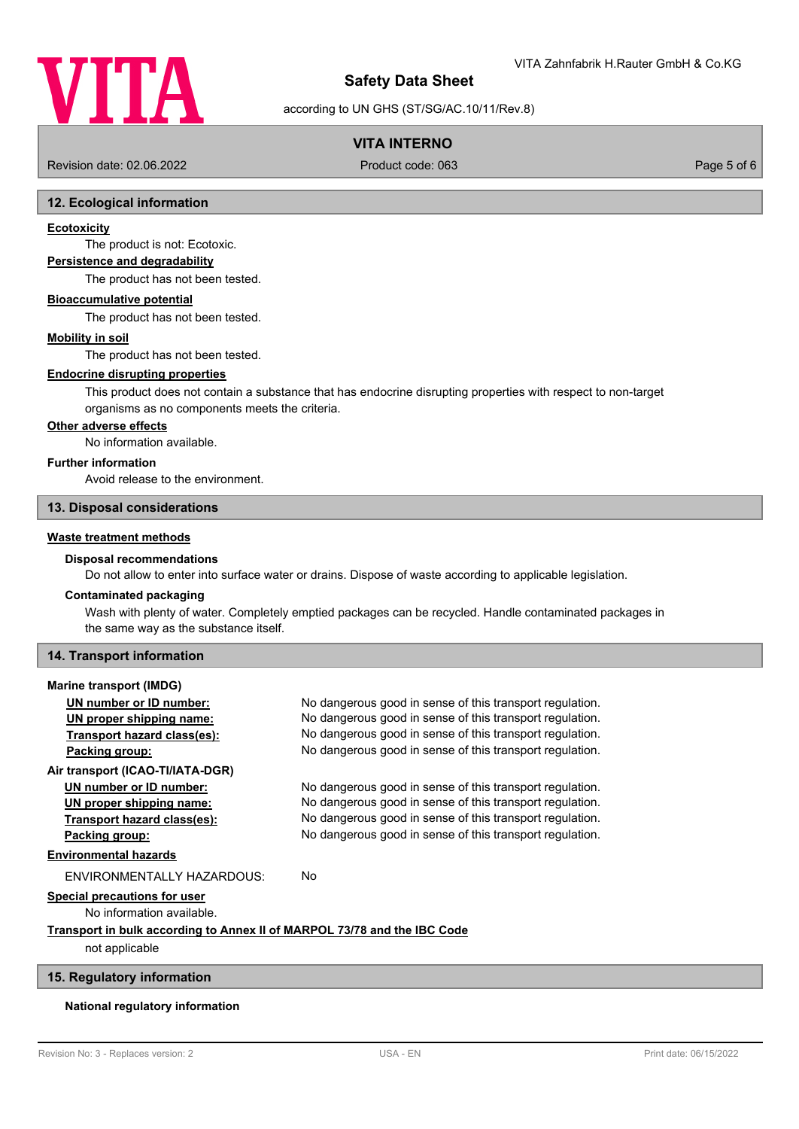

according to UN GHS (ST/SG/AC.10/11/Rev.8)

## **VITA INTERNO**

Revision date: 02.06.2022 Product code: 063 Page 5 of 6

#### **12. Ecological information**

#### **Ecotoxicity**

The product is not: Ecotoxic.

## **Persistence and degradability**

The product has not been tested.

#### **Bioaccumulative potential**

The product has not been tested.

#### **Mobility in soil**

The product has not been tested.

## **Endocrine disrupting properties**

This product does not contain a substance that has endocrine disrupting properties with respect to non-target organisms as no components meets the criteria.

#### **Other adverse effects**

No information available.

#### **Further information**

Avoid release to the environment.

#### **13. Disposal considerations**

#### **Waste treatment methods**

#### **Disposal recommendations**

Do not allow to enter into surface water or drains. Dispose of waste according to applicable legislation.

#### **Contaminated packaging**

Wash with plenty of water. Completely emptied packages can be recycled. Handle contaminated packages in the same way as the substance itself.

#### **14. Transport information**

#### **Marine transport (IMDG)**

| UN number or ID number:                                                  | No dangerous good in sense of this transport regulation. |  |
|--------------------------------------------------------------------------|----------------------------------------------------------|--|
| UN proper shipping name:                                                 | No dangerous good in sense of this transport regulation. |  |
| Transport hazard class(es):                                              | No dangerous good in sense of this transport regulation. |  |
| Packing group:                                                           | No dangerous good in sense of this transport regulation. |  |
| Air transport (ICAO-TI/IATA-DGR)                                         |                                                          |  |
| UN number or ID number:                                                  | No dangerous good in sense of this transport regulation. |  |
| UN proper shipping name:                                                 | No dangerous good in sense of this transport regulation. |  |
| Transport hazard class(es):                                              | No dangerous good in sense of this transport regulation. |  |
| Packing group:                                                           | No dangerous good in sense of this transport regulation. |  |
| <b>Environmental hazards</b>                                             |                                                          |  |
| ENVIRONMENTALLY HAZARDOUS:                                               | No                                                       |  |
| Special precautions for user                                             |                                                          |  |
| No information available.                                                |                                                          |  |
| Transport in bulk according to Annex II of MARPOL 73/78 and the IBC Code |                                                          |  |
| not applicable                                                           |                                                          |  |

#### **15. Regulatory information**

#### **National regulatory information**